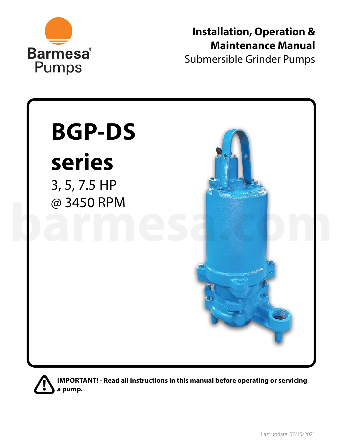

**Installation, Operation & Maintenance Manual** Submersible Grinder Pumps



**IMPORTANT! - Read all instructions in this manual before operating or servicing a pump.**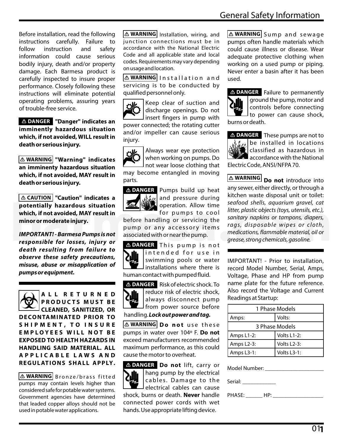Before installation, read the following instructions carefully. Failure to follow instruction and safety information could cause serious bodily injury, death and/or property damage. Each Barmesa product is carefully inspected to insure proper performance. Closely following these instructions will eliminate potential operating problems, assuring years of trouble-free service.

 **"Danger" indicates an DANGER imminently hazardous situation which, if not avoided, WILL result in death or serious injury.**

**WARNING "Warning" indicates an imminenty hazardous situation which, if not avoided, MAY result in death or serious injury.**

**"Caution" indicates a CAUTION potentially hazardous situation which, if not avoided, MAY result in minor or moderate injury.**

**IMPORTANT! - Barmesa Pumps is not responsible for losses, injury or death resulting from failure to observe these safety precautions, misuse, abuse or misapplication of pumps or equipment.**

**A L L R E T U R N E D P R O D U C T S M U S T B E CLEANED, SANITIZED, OR DECONTAMINATED PRIOR TO S H I P M E N T , T O I N S U R E E M P L O Y E E S W I L L N O T B E EXPOSED TO HEALTH HAZARDS IN HANDLING SAID MATERIAL. ALL A P P L I C A B L E L A W S A N D R E G U L AT I O N S S H A L L A P P LY.**

**WARNING** Bronze/brass fitted pumps may contain levels higher than considered safe for potable water systems. Government agencies have determined that leaded copper alloys should not be used in potable water applications.

**WARNING** Installation, wiring, and junction connections must be in accordance with the National Electric Code and all applicable state and local codes. Requirements may vary depending on usage and location.

**WARNING** | nstallation and servicing is to be conducted by qualified personnel only.



Keep clear of suction and discharge openings. Do not insert fingers in pump with

power connected; the rotating cutter and/or impeller can cause serious injury.



Always wear eye protection when working on pumps. Do not wear loose clothing that

may become entangled in moving parts.



**DANGER** Pumps build up heat and pressure during operation. Allow time for pumps to cool

before handling or servicing the pump or any accessory items associated with or near the pump.

**DANGER** This pump is not intended for use in swimming pools or water  $\blacksquare$  installations where there is human contact with pumped fluid.



**DANGER** Risk of electric shock. To reduce risk of electric shock, always disconnect pump from power source before

handling. **Lock out power and tag.**

**WARNING Do not** use these pumps in water over 104º F. **Do not** exceed manufacturers recommended maximum performance, as this could cause the motor to overheat.

**DANGER** Do not lift, carry or hang pump by the electrical cables. Damage to the  $\mathsf I$  electrical cables can cause shock, burns or death. **Never** handle connected power cords with wet hands. Use appropriate lifting device.

**WARNING** <code>Sump</code> and <code>sewage </code> pumps often handle materials which could cause illness or disease. Wear adequate protective clothing when working on a used pump or piping. Never enter a basin after it has been used.



**DANGER** Failure to permanently ground the pump, motor and controls before connecting  $\Box$  to power can cause shock, burns or death.

**DANGER** These pumps are not to  $\frac{1}{2} \frac{d}{dx}$  be installed in locations  $f$  classified as hazardous in  $\sum$  accordance with the National Electric Code, ANSI/NFPA 70.

**WARNING** Do not introduce into any sewer, either directly, or through a kitchen waste disposal unit or toilet: seafood shells, aquarium gravel, cat litter, plastic objects (toys, utensils, etc.), sanitary napkins or tampons, diapers, rags, disposable wipes or cloth, medications, flammable material, oil or grease, strong chemicals, gasoline. **barms of the particular and the sealing of the sealing of the sealing of the sealing of the sealing of the sealing of the sealing of sealing of sealing of sealing of sealing of sealing of sealing of sealing of sealing of** 

> IMPORTANT! - Prior to installation, record Model Number, Serial, Amps, Voltage, Phase and HP from pump name plate for the future reference. Also record the Voltage and Current Readings at Startup:

| 1 Phase Models          |             |  |  |  |  |
|-------------------------|-------------|--|--|--|--|
| Amps:                   | Volts:      |  |  |  |  |
| 3 Phase Models          |             |  |  |  |  |
| Amps L1-2:              | Volts L1-2: |  |  |  |  |
| Amps L <sub>2</sub> -3: | Volts L2-3: |  |  |  |  |
| Amps L3-1:              | Volts L3-1: |  |  |  |  |



PHASE: \_\_\_\_\_\_ HP: \_\_\_\_\_\_\_\_\_\_\_\_\_\_\_\_ \_\_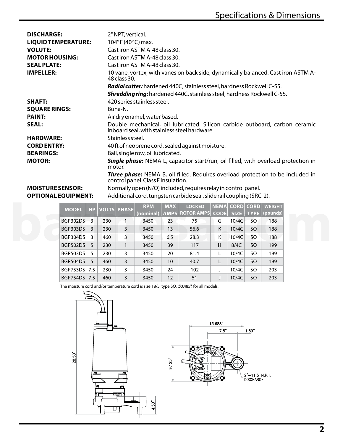| <b>DISCHARGE:</b><br><b>LIQUIDTEMPERATURE:</b><br><b>VOLUTE:</b><br><b>MOTOR HOUSING:</b><br><b>SEAL PLATE:</b><br><b>IMPELLER:</b> | 2" NPT, vertical.<br>$104^{\circ}$ F (40 $^{\circ}$ C) max.<br>Cast iron ASTM A-48 class 30.<br>Cast iron ASTM A-48 class 30.<br>Cast iron ASTM A-48 class 30.<br>10 vane, vortex, with vanes on back side, dynamically balanced. Cast iron ASTM A-<br>48 class 30. |
|-------------------------------------------------------------------------------------------------------------------------------------|---------------------------------------------------------------------------------------------------------------------------------------------------------------------------------------------------------------------------------------------------------------------|
|                                                                                                                                     | Radial cutter: hardened 440C, stainless steel, hardness Rockwell C-55.                                                                                                                                                                                              |
|                                                                                                                                     | <b>Shredding ring:</b> hardened 440C, stainless steel, hardness Rockwell C-55.                                                                                                                                                                                      |
| <b>SHAFT:</b>                                                                                                                       | 420 series stainless steel.                                                                                                                                                                                                                                         |
| <b>SQUARE RINGS:</b>                                                                                                                | Buna-N.                                                                                                                                                                                                                                                             |
| <b>PAINT:</b>                                                                                                                       | Air dry enamel, water based.                                                                                                                                                                                                                                        |
| <b>SEAL:</b>                                                                                                                        | Double mechanical, oil lubricated. Silicon carbide outboard, carbon ceramic<br>inboard seal, with stainless steel hardware.                                                                                                                                         |
| <b>HARDWARE:</b>                                                                                                                    | Stainless steel.                                                                                                                                                                                                                                                    |
| <b>CORD ENTRY:</b>                                                                                                                  | 40 ft of neoprene cord, sealed against moisture.                                                                                                                                                                                                                    |
| <b>BEARINGS:</b>                                                                                                                    | Ball, single row, oil lubricated.                                                                                                                                                                                                                                   |
| <b>MOTOR:</b>                                                                                                                       | <b>Single phase:</b> NEMA L, capacitor start/run, oil filled, with overload protection in<br>motor.                                                                                                                                                                 |
|                                                                                                                                     | Three phase: NEMA B, oil filled. Requires overload protection to be included in<br>control panel. Class F insulation.                                                                                                                                               |
| <b>MOISTURE SENSOR:</b>                                                                                                             | Normally open (N/O) included, requires relay in control panel.                                                                                                                                                                                                      |
| <b>OPTIONAL EQUIPMENT:</b>                                                                                                          | Additional cord, tungsten carbide seal, slide rail coupling (SRC-2).                                                                                                                                                                                                |

| <b>MODEL</b>    |     |     | <b>HP VOLTS PHASE</b> | <b>RPM</b> | <b>MAX</b> | <b>LOCKED</b>                        |   |       |               | <b>NEMAL CORDI CORDI WEIGHT</b> |
|-----------------|-----|-----|-----------------------|------------|------------|--------------------------------------|---|-------|---------------|---------------------------------|
|                 |     |     |                       |            |            | (nominal)   AMPS   ROTOR AMPS   CODE |   | SIZE  |               | TYPE (pounds)                   |
| <b>BGP302DS</b> | 3   | 230 |                       | 3450       | 23         | 75                                   | G | 10/4C | SO.           | 188                             |
| <b>BGP303DS</b> | 3   | 230 | 3                     | 3450       | 13         | 56.6                                 | K | 10/4C | SO.           | 188                             |
| <b>BGP304DS</b> | 3   | 460 | 3                     | 3450       | 6.5        | 28.3                                 | Κ | 10/4C | <b>SO</b>     | 188                             |
| BGP502DS        | 5   | 230 |                       | 3450       | 39         | 117                                  | H | 8/4C  | <b>SO</b>     | 199                             |
| <b>BGP503DS</b> | 5   | 230 | 3                     | 3450       | 20         | 81.4                                 | L | 10/4C | SO            | 199                             |
| BGP504DS        | 5   | 460 | 3                     | 3450       | 10         | 40.7                                 | L | 10/4C | <sub>SO</sub> | 199                             |
| BGP753DS 7.5    |     | 230 | 3                     | 3450       | 24         | 102                                  |   | 10/4C | SO.           | 203                             |
| BGP754DS        | 7.5 | 460 | 3                     | 3450       | 12         | 51                                   |   | 10/4C | <b>SO</b>     | 203                             |

The moisture cord and/or temperature cord is size 18/5, type SO, Ø0.485", for all models.

 $4.50"$ 



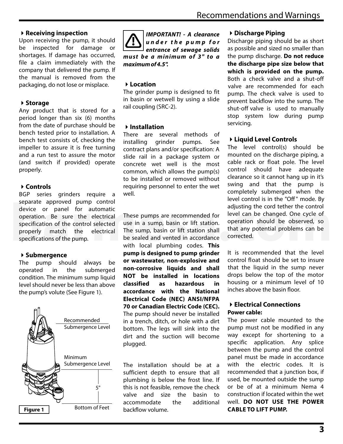# 4**Receiving inspection**

Upon receiving the pump, it should be inspected for damage or shortages. If damage has occurred, file a claim immediately with the company that delivered the pump. If the manual is removed from the packaging, do not lose or misplace.

# 4**Storage**

Any product that is stored for a period longer than six (6) months from the date of purchase should be bench tested prior to installation. A bench test consists of, checking the impeller to assure it is free turning and a run test to assure the motor (and switch if provided) operate properly.

# 4**Controls**

BGP series grinders require a separate approved pump control device or panel for automatic operation. Be sure the electrical specification of the control selected properly match the electrical specifications of the pump. separate approved pump control<br>device or panel for automatic<br>operation. Be sure the electrical These pumps are recommended for level can be changed. One cycle of<br>specification of the control selected use in a sump, basin o

# 4**Submergence**

The pump should always be operated in the submerged condition. The minimum sump liquid level should never be less than above the pump's volute (See Figure 1).





# 4**Location**

The grinder pump is designed to fit in basin or wetwell by using a slide rail coupling (SRC-2).

# 4**Installation**

There are several methods of installing grinder pumps. See contract plans and/or specification: A slide rail in a package system or concrete wet well is the most common, which allows the pump(s) to be installed or removed without requiring personnel to enter the wet well.

These pumps are recommended for use in a sump, basin or lift station. The sump, basin or lift station shall be sealed and vented in accordance with local plumbing codes. **This pump is designed to pump grinder or wastewater, non-explosive and non-corrosive liquids and shall NOT be installed in locations classified as hazardous in accordance with the National Electrical Code (NEC) ANSI/NFPA 70 or Canadian Electric Code (CEC).** The pump should never be installed in a trench, ditch, or hole with a dirt bottom. The legs will sink into the dirt and the suction will become plugged.

The installation should be at a sufficient depth to ensure that all plumbing is below the frost line. If this is not feasible, remove the check valve and size the basin to accommodate the additional backflow volume.

# 4**Discharge Piping**

Discharge piping should be as short as possible and sized no smaller than the pump discharge. **Do not reduce the discharge pipe size below that which is provided on the pump.** Both a check valve and a shut-off valve are recommended for each pump. The check valve is used to prevent backflow into the sump. The shut-off valve is used to manually stop system low during pump servicing.

# 4**Liquid Level Controls**

The level control(s) should be mounted on the discharge piping, a cable rack or float pole. The level control should have adequate clearance so it cannot hang up in it's swing and that the pump is completely submerged when the level control is in the "Off " mode. By adjusting the cord tether the control level can be changed. One cycle of operation should be observed, so that any potential problems can be corrected.

It is recommended that the level control float should be set to insure that the liquid in the sump never drops below the top of the motor housing or a minimum level of 10 inches above the basin floor.

## 4**Electrical Connections Power cable:**

The power cable mounted to the pump must not be modified in any way except for shortening to a specific application. Any splice between the pump and the control panel must be made in accordance with the electric codes. It is recommended that a junction box, if used, be mounted outside the sump or be of at a minimum Nema 4 construction if located within the wet well. **DO NOT USE THE POWER CABLE TO LIFT PUMP.**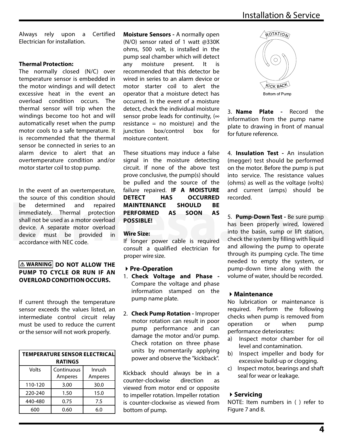Always rely upon a Certified Electrician for installation.

## **Thermal Protection:**

The normally closed (N/C) over temperature sensor is embedded in the motor windings and will detect excessive heat in the event an overload condition occurs. The thermal sensor will trip when the windings become too hot and will automatically reset when the pump motor cools to a safe temperature. It is recommended that the thermal sensor be connected in series to an alarm device to alert that an overtemperature condition and/or motor starter coil to stop pump.

In the event of an overtemperature, the source of this condition should be determined and repaired immediately. Thermal protection shall not be used as a motor overload device. A separate motor overload device must be provided in accordance with NEC code. be determined and repaired **MAINTENANCE SHOULD BE**<br>
immediately. Thermal protection **PERFORMED AS SOON AS**<br>
shall not be used as a motor overload<br>
device. A separate motor overload<br>
device must be provided in **Wire Size:**<br>

## **DO NOT ALLOW THE WARNING PUMP TO CYCLE OR RUN IF AN OVERLOADCONDITIONOCCURS.**

If current through the temperature sensor exceeds the values listed, an intermediate control circuit relay must be used to reduce the current or the sensor will not work properly.

| <b>TEMPERATURE SENSOR ELECTRICAL</b> |            |         |  |  |  |  |
|--------------------------------------|------------|---------|--|--|--|--|
| <b>RATINGS</b>                       |            |         |  |  |  |  |
| Volts                                | Continuous | Inrush  |  |  |  |  |
|                                      | Amperes    | Amperes |  |  |  |  |
| 110-120                              | 3.00       | 30.0    |  |  |  |  |
| 220-240                              | 1.50       | 15.0    |  |  |  |  |
| 440-480                              | 0.75       | 7.5     |  |  |  |  |
| 600                                  | 0.60       | 6.0     |  |  |  |  |

**Moisture Sensors -** A normally open (N/O) sensor rated of 1 watt @330K ohms, 500 volt, is installed in the pump seal chamber which will detect any moisture present. It is recommended that this detector be wired in series to an alarm device or motor starter coil to alert the operator that a moisture detect has occurred. In the event of a moisture detect, check the individual moisture sensor probe leads for continuity,  $(\infty)$ resistance =  $no$  moisture) and the  $\mu$ iunction box/control box for moisture content.

These situations may induce a false signal in the moisture detecting circuit. If none of the above test prove conclusive, the pump(s) should be pulled and the source of the failure repaired. **IF A MOISTURE DETECT HAS OCCURRED MAINTENANCE SHOULD BE PERFORMED AS SOON AS POSSIBLE!**

#### **Wire Size:**

If longer power cable is required consult a qualified electrician for proper wire size.

## 4**Pre-Operation**

- 1. **Check Voltage and Phase**  Compare the voltage and phase information stamped on the pump name plate.
- 2. **Check Pump Rotation -** Improper motor rotation can result in poor pump performance and can damage the motor and/or pump. Check rotation on three phase units by momentarily applying power and observe the "kickback".

Kickback should always be in a counter-clockwise direction as viewed from motor end or opposite to impeller rotation. Impeller rotation is counter-clockwise as viewed from bottom of pump.



3. **Name Plate -** Record the information from the pump name plate to drawing in front of manual for future reference.

4. **Insulation Test -** An insulation (megger) test should be performed on the motor. Before the pump is put into service. The resistance values (ohms) as well as the voltage (volts) and current (amps) should be recorded.

5. **Pump-Down Test -** Be sure pump has been properly wired, lowered into the basin, sump or lift station, check the system by filling with liquid and allowing the pump to operate through its pumping cycle. The time needed to empty the system, or pump-down time along with the volume of water, should be recorded.

## 4**Maintenance**

No lubrication or maintenance is required. Perform the following checks when pump is removed from operation or when pump performance deteriorates:

- a) Inspect motor chamber for oil level and contamination.
- b) Inspect impeller and body for excessive build-up or clogging.
- c) Inspect motor, bearings and shaft seal for wear or leakage.

## 4**Servicing**

NOTE: Item numbers in ( ) refer to Figure 7 and 8.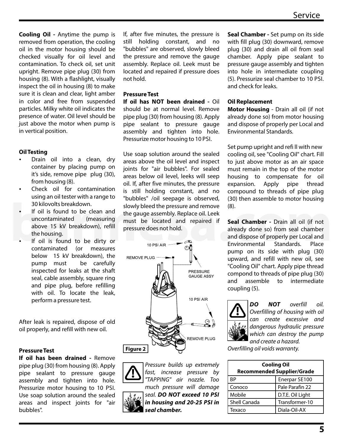**Cooling Oil -** Anytime the pump is removed from operation, the cooling oil in the motor housing should be checked visually for oil level and contamination. To check oil, set unit upright. Remove pipe plug (30) from housing (8). With a flashlight, visually inspect the oil in housing (8) to make sure it is clean and clear, light amber in color and free from suspended particles. Milky white oil indicates the presence of water. Oil level should be just above the motor when pump is in vertical position.

#### **Oil Testing**

- Drain oil into a clean, dry container by placing pump on it's side, remove pipe plug (30), from housing (8).
- Check oil for contamination using an oil tester with a range to 30 kilovolts breakdown.
- If oil is found to be clean and uncontaminated (measuring above 15 kV breakdown), refill the housing.
- If oil is found to be dirty or contaminated (or measures below 15 kV breakdown), the pump must be carefully inspected for leaks at the shaft seal, cable assembly, square ring and pipe plug, before refilling with oil. To locate the leak, perform a pressure test.

After leak is repaired, dispose of old oil properly, and refill with new oil.

#### **Pressure Test**

**If oil has been drained -** Remove pipe plug (30) from housing (8). Apply pipe sealant to pressure gauge assembly and tighten into hole. Pressurize motor housing to 10 PSI. Use soap solution around the sealed areas and inspect joints for "air bubbles".

If, after five minutes, the pressure is still holding constant, and no "bubbles" are observed, slowly bleed the pressure and remove the gauge assembly. Replace oil. Leek must be located and repaired if pressure does not hold.

## **Pressure Test**

**If oil has NOT been drained -** Oil should be at normal level. Remove pipe plug (30) from housing (8). Apply pipe sealant to pressure gauge assembly and tighten into hole. Pressurize motor housing to 10 PSI.

Use soap solution around the sealed areas above the oil level and inspect joints for "air bubbles". For sealed areas below oil level, leeks will seep oil. If, after five minutes, the pressure is still holding constant, and no "bubbles" /oil seepage is observed, slowly bleed the pressure and remove the gauge assembly. Replace oil. Leek must be located and repaired if pressure does not hold.





Pressure builds up extremely fast, increase pressure by "TAPPING" air nozzle. Too much pressure will damage seal. **DO NOT exceed 10 PSI in housing and 20-25 PSI in seal chamber.**

**Seal Chamber -** Set pump on its side with fill plug (30) downward, remove plug (30) and drain all oil from seal chamber. Apply pipe sealant to pressure gauge assembly and tighten into hole in intermediate coupling (5). Pressurize seal chamber to 10 PSI. and check for leaks.

## **Oil Replacement**

**Motor Housing** - Drain all oil (if not already done so) from motor housing and dispose of properly per Local and Environmental Standards.

Set pump upright and refi ll with new cooling oil, see "Cooling Oil" chart. Fill to just above motor as an air space must remain in the top of the motor housing to compensate for oil expansion. Apply pipe thread compound to threads of pipe plug (30) then assemble to motor housing (8).

**Seal Chamber -** Drain all oil (if not already done so) from seal chamber and dispose of properly per Local and Environmental Standards. Place pump on its side with plug (30) upward, and refill with new oil, see "Cooling Oil" chart. Apply pipe thread compond to threads of pipe plug (30) and assemble to intermediate coupling (5). **bareadomy** 30 kilovolts breakdown.<br> **a** and to be clean and the gauge assembly. Replace oil. Leek<br>
into the sauting the gauge assembly. Replace oil. Leek<br>
above 15 kV breakdown), refill<br>
the housing.<br> **barmes** and repaire



**DO NOT** overfill oil. Overfilling of housing with oil can create excessive and dangerous hydraulic pressure which can destroy the pump and create a hazard.

Overfilling oil voids warranty.

| <b>Cooling Oil</b><br><b>Recommended Supplier/Grade</b> |                  |  |  |  |  |
|---------------------------------------------------------|------------------|--|--|--|--|
| RР                                                      | Enerpar SE100    |  |  |  |  |
| Conoco                                                  | Pale Parafin 22  |  |  |  |  |
| Mobile                                                  | D.T.E. Oil Light |  |  |  |  |
| <b>Shell Canada</b>                                     | Transformer-10   |  |  |  |  |
| Texaco                                                  | Diala-Oil-AX     |  |  |  |  |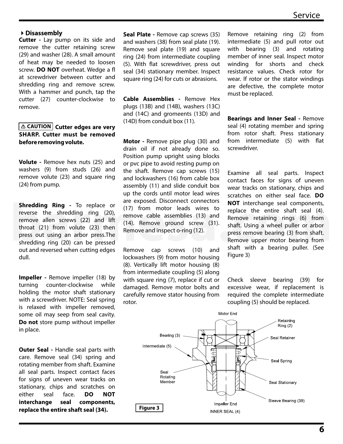#### 4**Disassembly**

**Cutter -** Lay pump on its side and remove the cutter retaining screw (29) and washer (28). A small amount of heat may be needed to loosen screw. **DO NOT** overheat. Wedge a fl at screwdriver between cutter and shredding ring and remove screw. With a hammer and punch, tap the cutter (27) counter-clockwise to remove.

## **CAUTION** Cutter edges are very **SHARP. Cutter must be removed before removing volute.**

**Volute -** Remove hex nuts (25) and washers (9) from studs (26) and remove volute (23) and square ring (24) from pump.

**Shredding Ring -** To replace or reverse the shredding ring (20), remove allen screws (22) and lift throat (21) from volute (23) then press out using an arbor press.The shredding ring (20) can be pressed out and reversed when cutting edges dull.

**Impeller** - Remove impeller (18) by turning counter-clockwise while holding the motor shaft stationary with a screwdriver. NOTE: Seal spring is relaxed with impeller removed, some oil may seep from seal cavity. **Do not** store pump without impeller in place.

**Outer Seal -** Handle seal parts with care. Remove seal (34) spring and rotating member from shaft. Examine all seal parts. Inspect contact faces for signs of uneven wear tracks on stationary, chips and scratches on either seal face. **DO NOT interchange seal components, replace the entire shaft seal (34).**

**Seal Plate -** Remove cap screws (35) and washers (38) from seal plate (19). Remove seal plate (19) and square ring (24) from intermediate coupling (5). With flat screwdriver, press out seal (34) stationary member. Inspect square ring (24) for cuts or abrasions.

**Cable Assemblies -** Remove Hex plugs (13B) and (14B), washers (13C) and (14C) and gromeents (13D) and (14D) from conduit box (11).

**Motor -** Remove pipe plug (30) and drain oil if not already done so. Position pump upright using blocks or pvc pipe to avoid resting pump on the shaft. Remove cap screws (15) and lockwashers (16) from cable box assembly (11) and slide conduit box up the cords until motor lead wires are exposed. Disconnect connectors (17) from motor leads wires to remove cable assemblies (13) and (14). Remove ground screw (31). Remove and inspect o-ring (12).

Remove cap screws (10) and lockwashers (9) from motor housing (8). Vertically lift motor housing (8) from intermediate coupling (5) along with square ring (7), replace if cut or damaged. Remove motor bolts and carefully remove stator housing from rotor.

Remove retaining ring (2) from intermediate (5) and pull rotor out with bearing (3) and rotating member of inner seal. Inspect motor winding for shorts and check resistance values. Check rotor for wear. If rotor or the stator windings are defective, the complete motor must be replaced.

**Bearings and Inner Seal -** Remove seal (4) rotating member and spring from rotor shaft. Press stationary from intermediate (5) with flat screwdriver.

Examine all seal parts. Inspect contact faces for signs of uneven wear tracks on stationary, chips and scratches on either seal face. **DO NOT** interchange seal components, replace the entire shaft seal (4). Remove retaining rings (6) from shaft. Using a wheel puller or arbor press remove bearing (3) from shaft. Remove upper motor bearing from shaft with a bearing puller. (See Figure 3) **Shredding Ring** - To replace or (17) from motor leads wires to **NOT** interchange seal components,<br>
rewerse the shredding ring (20), remove cable assemblies (13) and Remove retaining rings (6) from<br>
throat (21) from volute

> Check sleeve bearing (39) for excessive wear, if replacement is required the complete intermediate coupling (5) should be replaced.

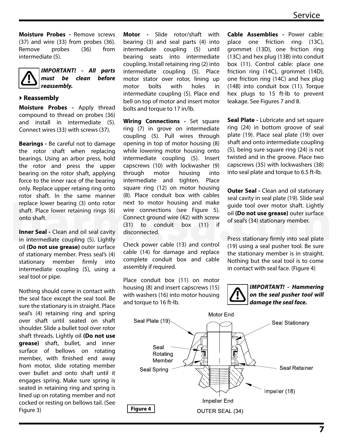**Moisture Probes -** Remove screws (37) and wire (33) from probes (36). Remove probes (36) from intermediate (5).



**IMPORTANT! - All parts must be clean before reassembly.**

#### 4**Reassembly**

**Moisture Probes -** Apply thread compound to thread on probes (36) and install in intermediate (5). Connect wires (33) with screws (37).

**Bearings -** Be careful not to damage the rotor shaft when replacing bearings. Using an arbor press, hold the rotor and press the upper bearing on the rotor shaft, applying force to the inner race of the bearing only. Replace upper retaing ring onto rotor shaft. In the same manner replace lower bearing (3) onto rotor shaft. Place lower retaining rings (6) onto shaft.

**Inner Seal - Clean and oil seal cavity** in intermediate coupling (5). Lightly oil **(Do not use grease)** outer surface of stationary member. Press seal's (4) stationary member firmly into intermediate coupling (5), using a seal tool or pipe.

Nothing should come in contact with the seal face except the seal tool. Be sure the stationary is in straight. Place seal's (4) retaining ring and spring over shaft until seated on shaft shoulder. Slide a bullet tool over rotor shaft threads. Lightly oil **(Do not use grease)** shaft, bullet, and inner surface of bellows on rotating member, with finished end away from motor, slide rotating member over bullet and onto shaft until it engages spring. Make sure spring is seated in retaining ring and spring is lined up on rotating member and not cocked or resting on bellows tail. (See Figure 3)

**Motor -** Slide rotor/shaft with bearing (3) and seal parts (4) into intermediate coupling (5) until bearing seats into intermediate coupling. Install retaining ring (2) into intermediate coupling (5). Place motor stator over rotor, lining up motor bolts with holes in intermediate coupling (5). Place end bell on top of motor and insert motor bolts and torque to 17 in/lb.

**Wiring Connections -** Set square ring (7) in grove on intermediate coupling (5). Pull wires through opening in top of motor housing (8) while lowering motor housing onto intermediate coupling (5). Insert capscrews (10) with lockwasher (9) through motor housing into intermediate and tighten. Place square ring (12) on motor housing (8). Place conduit box with cables next to motor housing and make wire connections (see Figure 5). Connect ground wire (42) with screw (31) to conduit box (11) if disconnected. replace lower bearing (3) onto rotor next to motor housing and make<br>
shaft. Place lower retaining rings (6) wire connections (see Figure 5).<br>
onto shaft.<br>
(31) to conduit box (11) if<br> **Inner Seal** - Clean and oil seal cavi

Check power cable (13) and control cable (14) for damage and replace complete conduit box and cable assembly if required.

Place conduit box (11) on motor housing (8) and insert capscrews (15) with washers (16) into motor housing and torque to 16 ft-lb.

**Cable Assemblies -** Power cable: place one friction ring (13C), grommet (13D), one friction ring (13C) and hex plug (13B) into conduit box (11). Control cable: place one friction ring (14C), grommet (14D), one friction ring (14C) and hex plug (14B) into conduit box (11). Torque hex plugs to 15 ft-lb to prevent leakage. See Figures 7 and 8.

**Seal Plate -** Lubricate and set square ring (24) in bottom groove of seal plate (19). Place seal plate (19) over shaft and onto intermediate coupling (5), being sure square ring (24) is not twisted and in the groove. Place two capscrews (35) with lockwashers (38) into seal plate and torque to 6.5 ft-lb.

**Outer Seal -** Clean and oil stationary seal cavity in seal plate (19). Slide seal guide tool over motor shaft. Lightly oil **(Do not use grease)** outer surface of seal's (34) stationary member.

Press stationary firmly into seal plate (19) using a seal pusher tool. Be sure the stationary member is in straight. Nothing but the seal tool is to come in contact with seal face. (Figure 4)



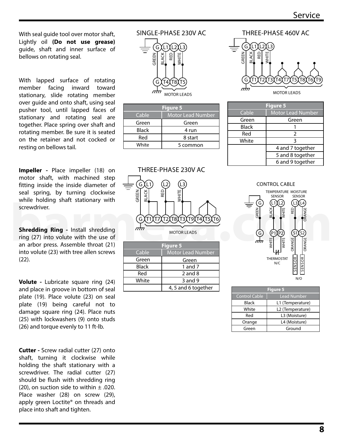With seal quide tool over motor shaft. Lightly oil **(Do not use grease)** guide, shaft and inner surface of bellows on rotating seal.

With lapped surface of rotating member facing inward toward stationary, slide rotating member over guide and onto shaft, using seal pusher tool, until lapped faces of stationary and rotating seal are together. Place spring over shaft and rotating member. Be sure it is seated on the retainer and not cocked or resting on bellows tail.

**Impeller -** Place impeller (18) on motor shaft, with machined step fitting inside the inside diameter of seal spring, by turning clockwise while holding shaft stationary with screwdriver.

**Shredding Ring -** Install shredding ring (27) into volute with the use of an arbor press. Assemble throat (21) into volute (23) with tree allen screws (22).

**Volute -** Lubricate square ring (24) and place in groove in bottom of seal plate (19). Place volute (23) on seal plate (19) being careful not to damage square ring (24). Place nuts (25) with lockwashers (9) onto studs (26) and torque evenly to 11 ft-lb.

**Cutter -** Screw radial cutter (27) onto shaft, turning it clockwise while holding the shaft stationary with a screwdriver. The radial cutter (27) should be flush with shredding ring (20), on suction side to within  $\pm$  .020. Place washer (28) on screw (29), apply green Loctite® on threads and place into shaft and tighten.

## SINGLE-PHASE 230V AC



| Figure 5     |                          |  |  |  |  |
|--------------|--------------------------|--|--|--|--|
| Cable        | <b>Motor Lead Number</b> |  |  |  |  |
| Green        | Green                    |  |  |  |  |
| <b>Black</b> | 4 run                    |  |  |  |  |
| Red          | 8 start                  |  |  |  |  |
| White        | 5 common                 |  |  |  |  |



| <b>Figure 5</b> |                          |  |  |  |  |  |
|-----------------|--------------------------|--|--|--|--|--|
| Cable           | <b>Motor Lead Number</b> |  |  |  |  |  |
| Green           | Green                    |  |  |  |  |  |
| <b>Black</b>    | 1 and $7$                |  |  |  |  |  |
| Red             | $2$ and $8$              |  |  |  |  |  |
| White           | 3 and 9                  |  |  |  |  |  |
|                 | 4, 5 and 6 together      |  |  |  |  |  |

#### T2)(T3)(T4)(T7)(T5)(T8)(T6)(T9 G )(L1)(L2)(L3 **RED WHITE** T1 L1BLACK<br>
– G GREEN THREE-PHASE 460V AC

MOTOR LEADS

| <b>Figure 5</b> |                          |  |  |  |  |
|-----------------|--------------------------|--|--|--|--|
| Cable           | <b>Motor Lead Number</b> |  |  |  |  |
| Green           | Green                    |  |  |  |  |
| <b>Black</b>    |                          |  |  |  |  |
| Red             | $\mathcal{P}$            |  |  |  |  |
| White           | ঽ                        |  |  |  |  |
|                 | 4 and 7 together         |  |  |  |  |
|                 | 5 and 8 together         |  |  |  |  |
|                 | 6 and 9 together         |  |  |  |  |



| <b>Figure 5</b>      |                    |  |  |  |  |
|----------------------|--------------------|--|--|--|--|
| <b>Control Cable</b> | <b>Lead Number</b> |  |  |  |  |
| <b>Black</b>         | L1 (Temperature)   |  |  |  |  |
| White                | L2 (Temperature)   |  |  |  |  |
| Red                  | L3 (Moisture)      |  |  |  |  |
| Orange               | L4 (Moisture)      |  |  |  |  |
| Green                | Ground             |  |  |  |  |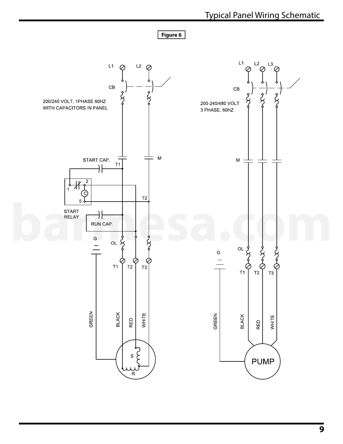

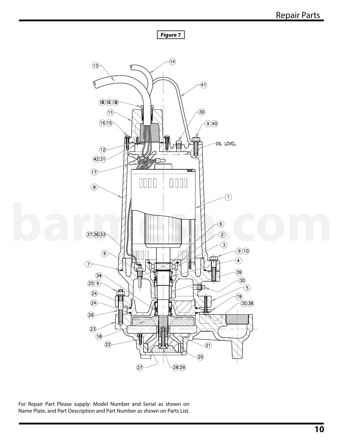

For Repair Part Please supply: Model Number and Serial as shown on Name Plate, and Part Description and Part Number as shown on Parts List.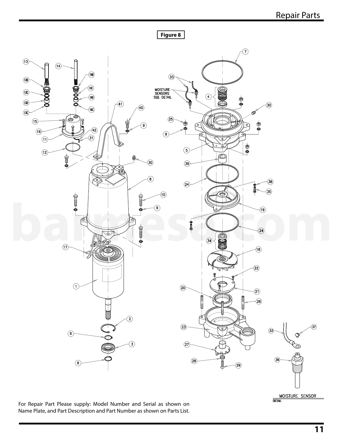



MOISTURE SENSOR

For Repair Part Please supply: Model Number and Serial as shown on Name Plate, and Part Description and Part Number as shown on Parts List.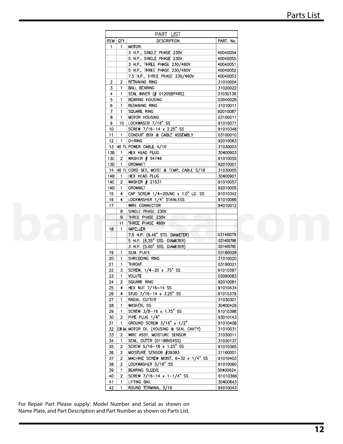|                     |                                | PART LIST                                        |                      |  |
|---------------------|--------------------------------|--------------------------------------------------|----------------------|--|
| ITEM   QTY.         |                                | <b>DESCRIPTION</b>                               | PART. No.            |  |
| $\mathbf{1}$        | $\mathbf{1}$                   | MOTOR:                                           |                      |  |
|                     |                                | 3 H.P., SINGLE PHASE 230V                        | 40040054             |  |
|                     |                                | 5 H.P., SINGLE PHASE 230V                        | 40040055             |  |
|                     |                                | 3 H.P., THREE PHASE 230/460V                     | 40040051             |  |
|                     |                                | 5 H.P., THREE PHASE 230/460V                     | 40040052             |  |
|                     |                                | 7.5 H.P., THREE PHASE 230/460V                   | 40040053             |  |
| $\overline{2}$<br>3 | $\overline{2}$                 | <b>RETAINING RING</b>                            | 31010004<br>31020022 |  |
| 4                   | $\overline{1}$<br>$\mathbf{1}$ | <b>BALL BEARING</b><br>SEAL INNER (# 0120SBP4RS) | 31030136             |  |
| 5                   | $\overline{1}$                 | BEARING HOUSING                                  | 03040026             |  |
| 6                   | $\mathbf{1}$                   | RETAINING RING                                   | 31010011             |  |
| 7                   | $\overline{1}$                 | SQUARE RING                                      | 92010087             |  |
| 8                   | $\overline{1}$                 | MOTOR HOUSING                                    | 03100011             |  |
| 9                   |                                | 10   LOCKWASER 7/16" SS                          | 91010071             |  |
| 10                  |                                | SCREW 7/16-14 x 2.25" SS                         | 91010348             |  |
| 11                  | $\overline{1}$                 | CONDUIT BOX & CABLE ASSEMBLY                     | 03100010             |  |
| 12                  | $\overline{1}$                 | 0-RING                                           | 92010063             |  |
|                     |                                | 13 40 Ft. POWER CABLE 4/10                       | 31030003             |  |
| 13B                 | $\overline{1}$                 | HEX HEAD PLUG                                    | 30400903             |  |
| 13C                 | $\overline{2}$                 | WASHER # 54746                                   | 91010055             |  |
| 13D                 | $\overline{1}$                 | <b>GROMMET</b>                                   | 92010001             |  |
|                     |                                | 14 40 Ft. CORD SET, MOIST & TEMP, CABLE 5/18     | 31030005             |  |
| 14B                 | $\overline{1}$                 | HEX HEAD PLUG                                    | 30400901             |  |
| 14C                 |                                | 2   WASHER # 21531                               | 91010057             |  |
| 14D                 | $\overline{1}$                 | <b>GROMMET</b>                                   | 92010005             |  |
| 15                  | $\overline{4}$                 | CAP SCREW 1/4-20UNC x 1.0" LG. SS                | 91010342             |  |
| 16                  | $\overline{4}$                 | LOCKWASHER 1/4" STAINLESS                        | 91010066             |  |
| 17                  |                                | WIRE CONNECTOR                                   | 94010012             |  |
|                     | 8                              | SINGLE PHASE 230V                                |                      |  |
|                     | 9                              | THREE PHASE 230V                                 |                      |  |
|                     | 11                             | THREE PHASE 460V                                 |                      |  |
| 18                  | $\overline{1}$                 | <b>IMPELLER</b>                                  |                      |  |
|                     |                                | 7.5 H.P. (6.46" STD. DIAMETER)                   | 03140079             |  |
|                     |                                | 5 H.P. (6.25" STD. DIAMETER)                     | 03140079B            |  |
|                     |                                | 3 H.P. (5.00" STD. DIAMETER)                     | 03140079C            |  |
| 19                  | $\overline{1}$                 | SEAL PLATE                                       | 03180028             |  |
| 20                  | $\overline{1}$                 | SHREDDING RING                                   | 31010020<br>03190021 |  |
| 21                  | $\overline{1}$                 | <b>THROAT</b><br>SCREW, 1/4-20 x .75" SS         | 91010397             |  |
| 22<br>23            | -3<br>$\overline{1}$           | <b>VOLUTE</b>                                    | 03090083             |  |
| 24                  | $\overline{2}$                 | SQUARE RING                                      | 92010081             |  |
| 25                  | -4                             | HEX NUT 7/16-14 SS                               | 91010434             |  |
| 26                  | 4                              | STUD 7/16-14 x 3.25" SS                          | 91010379             |  |
| 27                  | -1                             | RADIAL CUTTER                                    | 31030301             |  |
| 28                  | $\overline{1}$                 | WASHER, SS                                       | 30400426             |  |
| 29                  | -1                             | SCREW 3/8-16 x 1.75" SS                          | 91010398             |  |
| 30                  | $\overline{2}$                 | PIPE PLUG 1/4"                                   | 93010143             |  |
| 31                  |                                | GROUND SCREW 3/16" x 1/2"                        | 91010408             |  |
| 32                  |                                | 2.38 Gal MOTOR OIL (HOUSING & SEAL CAVITY)       | 31010031             |  |
| 33                  | -2                             | WIRE ASSY, MOISTURE SENSOR                       | 31030011             |  |
| 34                  | -1                             | SEAL, OUTER (0118BVS4SS)                         | 31030137             |  |
| 35                  | $\overline{2}$                 | SCREW 5/16-18 x 1.25" SS                         | 91010365             |  |
| 36                  | -2                             | $\vert$ MOISTURE SENSOR $\#$ 39383               | 31160001             |  |
| 37                  | -2                             | MACHINE SCREW MOIST, 6-32 x 1/4" SS              | 91010403             |  |
| 38                  | $\overline{2}$                 | LOCKWASHER 5/16" SS                              | 91010060             |  |
| 39                  | -1                             | <b>BEARING SLEEVE</b>                            | 30400624             |  |
| 40                  | $\overline{2}$                 | SCREW 7/16-14 x 1-1/4" SS                        | 91010366             |  |
| 41                  |                                | LIFTING BAIL                                     | 30400843             |  |
| 42                  |                                | ROUND TERMINAL 3/16                              | 94010043             |  |

For Repair Part Please supply: Model Number and Serial as shown on Name Plate, and Part Description and Part Number as shown on Parts List.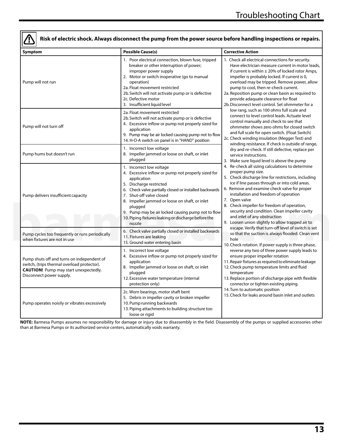## **Risk of electric shock. Always disconnect the pump from the power source before handling inspections or repairs.**

| Symptom                                                                                                                                                               | <b>Possible Cause(s)</b>                                                                                                                                                                                                                                                                                                                                                                           | <b>Corrective Action</b>                                                                                                                                                                                                                                                                                                                                                                                                                                                                                                            |
|-----------------------------------------------------------------------------------------------------------------------------------------------------------------------|----------------------------------------------------------------------------------------------------------------------------------------------------------------------------------------------------------------------------------------------------------------------------------------------------------------------------------------------------------------------------------------------------|-------------------------------------------------------------------------------------------------------------------------------------------------------------------------------------------------------------------------------------------------------------------------------------------------------------------------------------------------------------------------------------------------------------------------------------------------------------------------------------------------------------------------------------|
| Pump will not run                                                                                                                                                     | 1. Poor electrical connection, blown fuse, tripped<br>breaker or other interruption of power;<br>improper power supply<br>2. Motor or switch inoperative (go to manual<br>operation)<br>2a. Float movement restricted<br>2b. Switch will not activate pump or is defective<br>2c. Defective motor<br>3. Insufficient liquid level                                                                  | 1. Check all electrical connections for security.<br>Have electrician measure current in motor leads,<br>if current is within $\pm$ 20% of locked rotor Amps,<br>impeller is probably locked. If current is 0,<br>overload may be tripped. Remove power, allow<br>pump to cool, then re-check current.<br>2a. Reposition pump or clean basin as required to<br>provide adaquate clearance for float<br>2b. Disconnect level control. Set ohmmeter for a                                                                             |
| Pump will not turn off                                                                                                                                                | 2a. Float movement restricted<br>2b. Switch will not activate pump or is defective<br>4. Excessive inflow or pump not properly sized for<br>application<br>9. Pump may be air locked causing pump not to flow<br>14. H-O-A switch on panel is in "HAND" position                                                                                                                                   | low rang, such as 100 ohms full scale and<br>connect to level control leads. Actuate level<br>control manually and check to see that<br>ohmmeter shows zero ohms for closed switch<br>and full scale for open switch. (Float Switch)<br>2c. Check winding insulation (Megger Test) and<br>winding resistance. If check is outside of range,                                                                                                                                                                                         |
| Pump hums but doesn't run                                                                                                                                             | 1. Incorrect low voltage<br>8. Impeller jammed or loose on shaft, or inlet<br>plugged                                                                                                                                                                                                                                                                                                              | dry and re-check. If still defective, replace per<br>service instructions.<br>3. Make sure liquid level is above the pump                                                                                                                                                                                                                                                                                                                                                                                                           |
| Pump delivers insufficient capacity                                                                                                                                   | 1. Incorrect low voltage<br>4. Excessive inflow or pump not properly sized for<br>application<br>5. Discharge restricted<br>6. Check valve partially closed or installed backwards<br>7. Shut-off valve closed<br>8. Impeller jammed or loose on shaft, or inlet<br>plugged<br>9. Pump may be air locked causing pump not to flow<br>10. Piping fixtures leaking or discharge before the<br>nozzle | 4. Re-check all sizing calculations to determine<br>proper pump size.<br>5. Check discharge line for restrictions, including<br>ice if line passes through or into cold areas.<br>6. Remove and examine check valve for proper<br>installation and freedom of operation<br>7. Open valve<br>8. Check impeller for freedom of operation,<br>security and condition. Clean impeller cavity<br>and inlet of any obstruction<br>9. Loosen union slightly to allow trapped air to<br>escape. Verify that turn-off level of switch is set |
| Pump cycles too frequently or runs periodically<br>when fixtures are not in use                                                                                       | 6. Check valve partially closed or installed backwards<br>11. Fixtures are leaking<br>15. Ground water entering basin                                                                                                                                                                                                                                                                              | so that the suction is always flooded. Clean vent<br>hole<br>10. Check rotation. If power supply is three phase,                                                                                                                                                                                                                                                                                                                                                                                                                    |
| Pump shuts off and turns on independent of<br>switch, (trips thermal overload protector).<br><b>CAUTION!</b> Pump may start unexpectedly.<br>Disconnect power supply. | 1. Incorrect low voltage<br>4. Excessive inflow or pump not properly sized for<br>application<br>8. Impeller jammed or loose on shaft, or inlet<br>plugged<br>12. Excessive water temperature (internal<br>protection only)                                                                                                                                                                        | reverse any two of three power supply leads to<br>ensure proper impeller rotation<br>11. Repair fixtures as required to eliminate leakage<br>12. Check pump temperature limits and fluid<br>temperature<br>13. Replace portion of discharge pipe with flexible<br>connector or tighten existing piping.                                                                                                                                                                                                                             |
| Pump operates noisily or vibrates excessively                                                                                                                         | 2c. Worn bearings, motor shaft bent<br>5. Debris in impeller cavity or broken impeller<br>10. Pump running backwards<br>13. Piping attachments to building structure too<br>loose or rigid                                                                                                                                                                                                         | 14. Turn to automatic position<br>15. Check for leaks around basin inlet and outlets                                                                                                                                                                                                                                                                                                                                                                                                                                                |

**NOTE:** Barmesa Pumps assumes no responsibility for damage or injury due to disassembly in the field. Disassembly of the pumps or supplied accessories other than at Barmesa Pumps or its authorized service centers, automatically voids warranty.